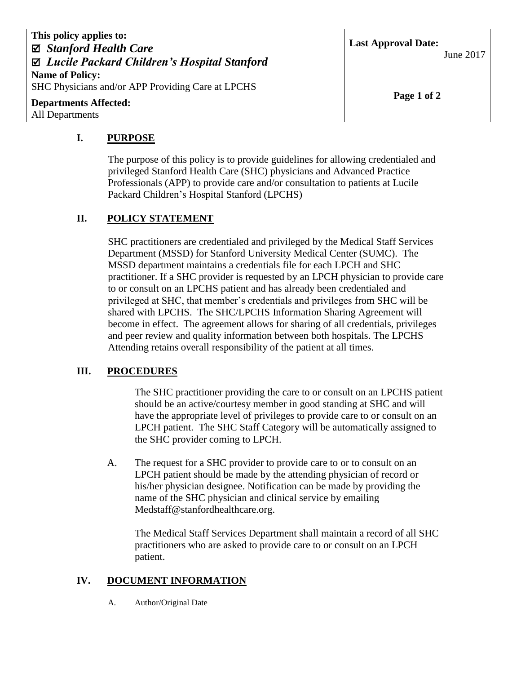| This policy applies to:<br>⊠ Stanford Health Care<br>⊠ Lucile Packard Children's Hospital Stanford | <b>Last Approval Date:</b><br>June 2017 |
|----------------------------------------------------------------------------------------------------|-----------------------------------------|
| <b>Name of Policy:</b><br>SHC Physicians and/or APP Providing Care at LPCHS                        |                                         |
| <b>Departments Affected:</b><br><b>All Departments</b>                                             | Page 1 of 2                             |

## **I. PURPOSE**

The purpose of this policy is to provide guidelines for allowing credentialed and privileged Stanford Health Care (SHC) physicians and Advanced Practice Professionals (APP) to provide care and/or consultation to patients at Lucile Packard Children's Hospital Stanford (LPCHS)

## **II. POLICY STATEMENT**

SHC practitioners are credentialed and privileged by the Medical Staff Services Department (MSSD) for Stanford University Medical Center (SUMC). The MSSD department maintains a credentials file for each LPCH and SHC practitioner. If a SHC provider is requested by an LPCH physician to provide care to or consult on an LPCHS patient and has already been credentialed and privileged at SHC, that member's credentials and privileges from SHC will be shared with LPCHS. The SHC/LPCHS Information Sharing Agreement will become in effect. The agreement allows for sharing of all credentials, privileges and peer review and quality information between both hospitals. The LPCHS Attending retains overall responsibility of the patient at all times.

## **III. PROCEDURES**

The SHC practitioner providing the care to or consult on an LPCHS patient should be an active/courtesy member in good standing at SHC and will have the appropriate level of privileges to provide care to or consult on an LPCH patient. The SHC Staff Category will be automatically assigned to the SHC provider coming to LPCH.

A. The request for a SHC provider to provide care to or to consult on an LPCH patient should be made by the attending physician of record or his/her physician designee. Notification can be made by providing the name of the SHC physician and clinical service by emailing Medstaff@stanfordhealthcare.org.

The Medical Staff Services Department shall maintain a record of all SHC practitioners who are asked to provide care to or consult on an LPCH patient.

## **IV. DOCUMENT INFORMATION**

A. Author/Original Date